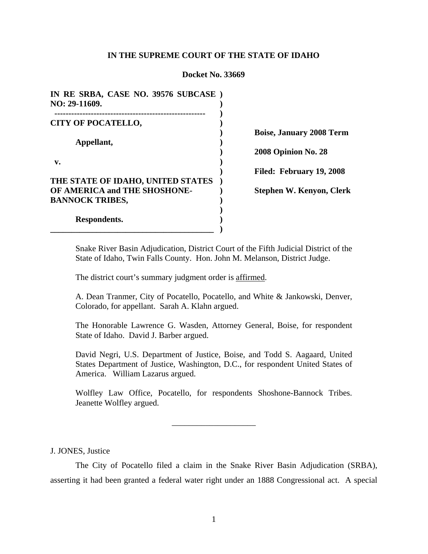## **IN THE SUPREME COURT OF THE STATE OF IDAHO**

#### **Docket No. 33669**

| IN RE SRBA, CASE NO. 39576 SUBCASE) |  |
|-------------------------------------|--|
| NO: 29-11609.                       |  |
|                                     |  |
| <b>CITY OF POCATELLO,</b>           |  |
|                                     |  |
| Appellant,                          |  |
|                                     |  |
| v.                                  |  |
|                                     |  |
| THE STATE OF IDAHO, UNITED STATES   |  |
| <b>OF AMERICA and THE SHOSHONE-</b> |  |
| <b>BANNOCK TRIBES,</b>              |  |
|                                     |  |
| Respondents.                        |  |
|                                     |  |

**Boise, January 2008 Term 2008 Opinion No. 28 Filed: February 19, 2008 Stephen W. Kenyon, Clerk** 

Snake River Basin Adjudication, District Court of the Fifth Judicial District of the State of Idaho, Twin Falls County. Hon. John M. Melanson, District Judge.

The district court's summary judgment order is affirmed.

A. Dean Tranmer, City of Pocatello, Pocatello, and White & Jankowski, Denver, Colorado, for appellant. Sarah A. Klahn argued.

The Honorable Lawrence G. Wasden, Attorney General, Boise, for respondent State of Idaho. David J. Barber argued.

David Negri, U.S. Department of Justice, Boise, and Todd S. Aagaard, United States Department of Justice, Washington, D.C., for respondent United States of America. William Lazarus argued.

Wolfley Law Office, Pocatello, for respondents Shoshone-Bannock Tribes. Jeanette Wolfley argued.

\_\_\_\_\_\_\_\_\_\_\_\_\_\_\_\_\_\_\_\_

J. JONES, Justice

The City of Pocatello filed a claim in the Snake River Basin Adjudication (SRBA), asserting it had been granted a federal water right under an 1888 Congressional act. A special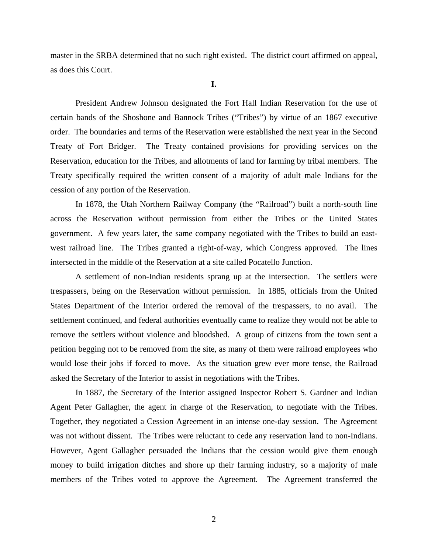master in the SRBA determined that no such right existed. The district court affirmed on appeal, as does this Court.

#### **I.**

President Andrew Johnson designated the Fort Hall Indian Reservation for the use of certain bands of the Shoshone and Bannock Tribes ("Tribes") by virtue of an 1867 executive order. The boundaries and terms of the Reservation were established the next year in the Second Treaty of Fort Bridger. The Treaty contained provisions for providing services on the Reservation, education for the Tribes, and allotments of land for farming by tribal members. The Treaty specifically required the written consent of a majority of adult male Indians for the cession of any portion of the Reservation.

In 1878, the Utah Northern Railway Company (the "Railroad") built a north-south line across the Reservation without permission from either the Tribes or the United States government. A few years later, the same company negotiated with the Tribes to build an eastwest railroad line. The Tribes granted a right-of-way, which Congress approved. The lines intersected in the middle of the Reservation at a site called Pocatello Junction.

A settlement of non-Indian residents sprang up at the intersection. The settlers were trespassers, being on the Reservation without permission. In 1885, officials from the United States Department of the Interior ordered the removal of the trespassers, to no avail. The settlement continued, and federal authorities eventually came to realize they would not be able to remove the settlers without violence and bloodshed. A group of citizens from the town sent a petition begging not to be removed from the site, as many of them were railroad employees who would lose their jobs if forced to move. As the situation grew ever more tense, the Railroad asked the Secretary of the Interior to assist in negotiations with the Tribes.

In 1887, the Secretary of the Interior assigned Inspector Robert S. Gardner and Indian Agent Peter Gallagher, the agent in charge of the Reservation, to negotiate with the Tribes. Together, they negotiated a Cession Agreement in an intense one-day session. The Agreement was not without dissent. The Tribes were reluctant to cede any reservation land to non-Indians. However, Agent Gallagher persuaded the Indians that the cession would give them enough money to build irrigation ditches and shore up their farming industry, so a majority of male members of the Tribes voted to approve the Agreement. The Agreement transferred the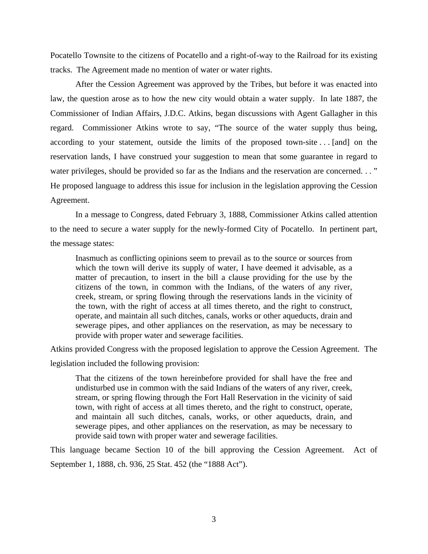Pocatello Townsite to the citizens of Pocatello and a right-of-way to the Railroad for its existing tracks. The Agreement made no mention of water or water rights.

After the Cession Agreement was approved by the Tribes, but before it was enacted into law, the question arose as to how the new city would obtain a water supply. In late 1887, the Commissioner of Indian Affairs, J.D.C. Atkins, began discussions with Agent Gallagher in this regard. Commissioner Atkins wrote to say, "The source of the water supply thus being, according to your statement, outside the limits of the proposed town-site . . . [and] on the reservation lands, I have construed your suggestion to mean that some guarantee in regard to water privileges, should be provided so far as the Indians and the reservation are concerned. . . " He proposed language to address this issue for inclusion in the legislation approving the Cession Agreement.

In a message to Congress, dated February 3, 1888, Commissioner Atkins called attention to the need to secure a water supply for the newly-formed City of Pocatello. In pertinent part, the message states:

Inasmuch as conflicting opinions seem to prevail as to the source or sources from which the town will derive its supply of water, I have deemed it advisable, as a matter of precaution, to insert in the bill a clause providing for the use by the citizens of the town, in common with the Indians, of the waters of any river, creek, stream, or spring flowing through the reservations lands in the vicinity of the town, with the right of access at all times thereto, and the right to construct, operate, and maintain all such ditches, canals, works or other aqueducts, drain and sewerage pipes, and other appliances on the reservation, as may be necessary to provide with proper water and sewerage facilities.

Atkins provided Congress with the proposed legislation to approve the Cession Agreement. The

legislation included the following provision:

That the citizens of the town hereinbefore provided for shall have the free and undisturbed use in common with the said Indians of the waters of any river, creek, stream, or spring flowing through the Fort Hall Reservation in the vicinity of said town, with right of access at all times thereto, and the right to construct, operate, and maintain all such ditches, canals, works, or other aqueducts, drain, and sewerage pipes, and other appliances on the reservation, as may be necessary to provide said town with proper water and sewerage facilities.

This language became Section 10 of the bill approving the Cession Agreement. Act of September 1, 1888, ch. 936, 25 Stat. 452 (the "1888 Act").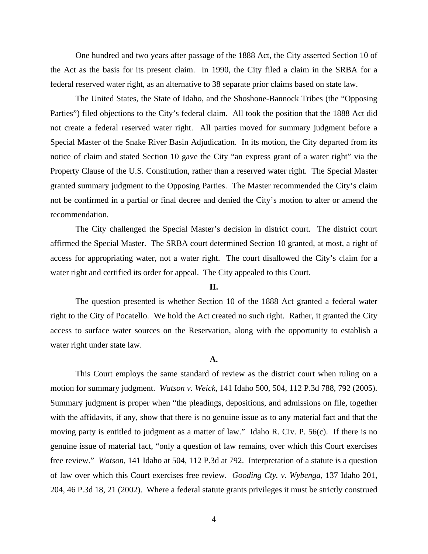One hundred and two years after passage of the 1888 Act, the City asserted Section 10 of the Act as the basis for its present claim. In 1990, the City filed a claim in the SRBA for a federal reserved water right, as an alternative to 38 separate prior claims based on state law.

The United States, the State of Idaho, and the Shoshone-Bannock Tribes (the "Opposing Parties") filed objections to the City's federal claim. All took the position that the 1888 Act did not create a federal reserved water right. All parties moved for summary judgment before a Special Master of the Snake River Basin Adjudication. In its motion, the City departed from its notice of claim and stated Section 10 gave the City "an express grant of a water right" via the Property Clause of the U.S. Constitution, rather than a reserved water right. The Special Master granted summary judgment to the Opposing Parties. The Master recommended the City's claim not be confirmed in a partial or final decree and denied the City's motion to alter or amend the recommendation.

The City challenged the Special Master's decision in district court. The district court affirmed the Special Master. The SRBA court determined Section 10 granted, at most, a right of access for appropriating water, not a water right. The court disallowed the City's claim for a water right and certified its order for appeal. The City appealed to this Court.

**II.** 

The question presented is whether Section 10 of the 1888 Act granted a federal water right to the City of Pocatello. We hold the Act created no such right. Rather, it granted the City access to surface water sources on the Reservation, along with the opportunity to establish a water right under state law.

### **A.**

This Court employs the same standard of review as the district court when ruling on a motion for summary judgment. *Watson v. Weick*, 141 Idaho 500, 504, 112 P.3d 788, 792 (2005). Summary judgment is proper when "the pleadings, depositions, and admissions on file, together with the affidavits, if any, show that there is no genuine issue as to any material fact and that the moving party is entitled to judgment as a matter of law." Idaho R. Civ. P. 56(c). If there is no genuine issue of material fact, "only a question of law remains, over which this Court exercises free review." *Watson*, 141 Idaho at 504, 112 P.3d at 792. Interpretation of a statute is a question of law over which this Court exercises free review. *Gooding Cty. v. Wybenga*, 137 Idaho 201, 204, 46 P.3d 18, 21 (2002). Where a federal statute grants privileges it must be strictly construed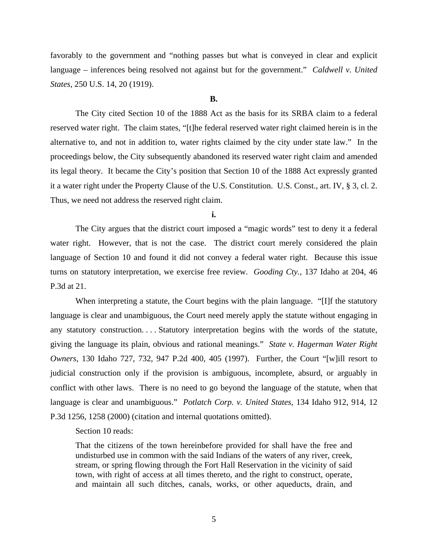favorably to the government and "nothing passes but what is conveyed in clear and explicit language – inferences being resolved not against but for the government." *Caldwell v. United States*, 250 U.S. 14, 20 (1919).

#### **B.**

The City cited Section 10 of the 1888 Act as the basis for its SRBA claim to a federal reserved water right. The claim states, "[t]he federal reserved water right claimed herein is in the alternative to, and not in addition to, water rights claimed by the city under state law." In the proceedings below, the City subsequently abandoned its reserved water right claim and amended its legal theory. It became the City's position that Section 10 of the 1888 Act expressly granted it a water right under the Property Clause of the U.S. Constitution. U.S. Const., art. IV, § 3, cl. 2. Thus, we need not address the reserved right claim.

**i.** 

The City argues that the district court imposed a "magic words" test to deny it a federal water right. However, that is not the case. The district court merely considered the plain language of Section 10 and found it did not convey a federal water right. Because this issue turns on statutory interpretation, we exercise free review. *Gooding Cty.,* 137 Idaho at 204, 46 P.3d at 21.

When interpreting a statute, the Court begins with the plain language. "[I]f the statutory language is clear and unambiguous, the Court need merely apply the statute without engaging in any statutory construction. . . . Statutory interpretation begins with the words of the statute, giving the language its plain, obvious and rational meanings." *State v. Hagerman Water Right Owners*, 130 Idaho 727, 732, 947 P.2d 400, 405 (1997). Further, the Court "[w]ill resort to judicial construction only if the provision is ambiguous, incomplete, absurd, or arguably in conflict with other laws. There is no need to go beyond the language of the statute, when that language is clear and unambiguous." *Potlatch Corp. v. United States*, 134 Idaho 912, 914, 12 P.3d 1256, 1258 (2000) (citation and internal quotations omitted).

Section 10 reads:

That the citizens of the town hereinbefore provided for shall have the free and undisturbed use in common with the said Indians of the waters of any river, creek, stream, or spring flowing through the Fort Hall Reservation in the vicinity of said town, with right of access at all times thereto, and the right to construct, operate, and maintain all such ditches, canals, works, or other aqueducts, drain, and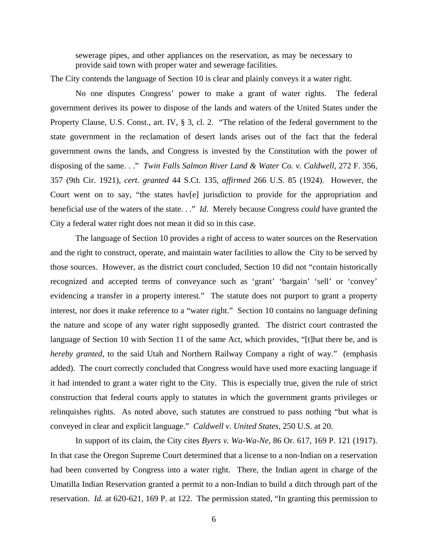sewerage pipes, and other appliances on the reservation, as may be necessary to provide said town with proper water and sewerage facilities.

The City contends the language of Section 10 is clear and plainly conveys it a water right.

No one disputes Congress' power to make a grant of water rights. The federal government derives its power to dispose of the lands and waters of the United States under the Property Clause, U.S. Const., art. IV, § 3, cl. 2. "The relation of the federal government to the state government in the reclamation of desert lands arises out of the fact that the federal government owns the lands, and Congress is invested by the Constitution with the power of disposing of the same. . ." *Twin Falls Salmon River Land & Water Co. v. Caldwell*, 272 F. 356, 357 (9th Cir. 1921), *cert. granted* 44 S.Ct. 135, *affirmed* 266 U.S. 85 (1924). However, the Court went on to say, "the states hav[e] jurisdiction to provide for the appropriation and beneficial use of the waters of the state. . ." *Id.* Merely because Congress *could* have granted the City a federal water right does not mean it did so in this case.

The language of Section 10 provides a right of access to water sources on the Reservation and the right to construct, operate, and maintain water facilities to allow the City to be served by those sources. However, as the district court concluded, Section 10 did not "contain historically recognized and accepted terms of conveyance such as 'grant' 'bargain' 'sell' or 'convey' evidencing a transfer in a property interest." The statute does not purport to grant a property interest, nor does it make reference to a "water right." Section 10 contains no language defining the nature and scope of any water right supposedly granted. The district court contrasted the language of Section 10 with Section 11 of the same Act, which provides, "[t]hat there be, and is *hereby granted*, to the said Utah and Northern Railway Company a right of way." (emphasis added). The court correctly concluded that Congress would have used more exacting language if it had intended to grant a water right to the City. This is especially true, given the rule of strict construction that federal courts apply to statutes in which the government grants privileges or relinquishes rights. As noted above, such statutes are construed to pass nothing "but what is conveyed in clear and explicit language." *Caldwell v. United States*, 250 U.S. at 20.

In support of its claim, the City cites *Byers v. Wa-Wa-Ne*, 86 Or. 617, 169 P. 121 (1917). In that case the Oregon Supreme Court determined that a license to a non-Indian on a reservation had been converted by Congress into a water right. There, the Indian agent in charge of the Umatilla Indian Reservation granted a permit to a non-Indian to build a ditch through part of the reservation. *Id.* at 620-621, 169 P. at 122. The permission stated, "In granting this permission to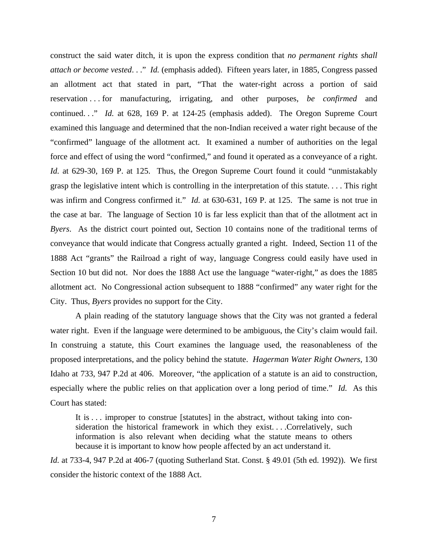construct the said water ditch, it is upon the express condition that *no permanent rights shall attach or become vested*. . ." *Id.* (emphasis added). Fifteen years later, in 1885, Congress passed an allotment act that stated in part, "That the water-right across a portion of said reservation . . . for manufacturing, irrigating, and other purposes, *be confirmed* and continued. . ." *Id.* at 628, 169 P. at 124-25 (emphasis added). The Oregon Supreme Court examined this language and determined that the non-Indian received a water right because of the "confirmed" language of the allotment act. It examined a number of authorities on the legal force and effect of using the word "confirmed," and found it operated as a conveyance of a right. *Id.* at 629-30, 169 P. at 125. Thus, the Oregon Supreme Court found it could "unmistakably grasp the legislative intent which is controlling in the interpretation of this statute. . . . This right was infirm and Congress confirmed it." *Id.* at 630-631, 169 P. at 125. The same is not true in the case at bar. The language of Section 10 is far less explicit than that of the allotment act in *Byers*. As the district court pointed out, Section 10 contains none of the traditional terms of conveyance that would indicate that Congress actually granted a right. Indeed, Section 11 of the 1888 Act "grants" the Railroad a right of way, language Congress could easily have used in Section 10 but did not. Nor does the 1888 Act use the language "water-right," as does the 1885 allotment act. No Congressional action subsequent to 1888 "confirmed" any water right for the City. Thus, *Byers* provides no support for the City.

 A plain reading of the statutory language shows that the City was not granted a federal water right. Even if the language were determined to be ambiguous, the City's claim would fail. In construing a statute, this Court examines the language used, the reasonableness of the proposed interpretations, and the policy behind the statute. *Hagerman Water Right Owners,* 130 Idaho at 733, 947 P.2d at 406. Moreover, "the application of a statute is an aid to construction, especially where the public relies on that application over a long period of time." *Id.* As this Court has stated:

It is . . . improper to construe [statutes] in the abstract, without taking into consideration the historical framework in which they exist. . . .Correlatively, such information is also relevant when deciding what the statute means to others because it is important to know how people affected by an act understand it.

*Id.* at 733-4, 947 P.2d at 406-7 (quoting Sutherland Stat. Const. § 49.01 (5th ed. 1992)). We first consider the historic context of the 1888 Act.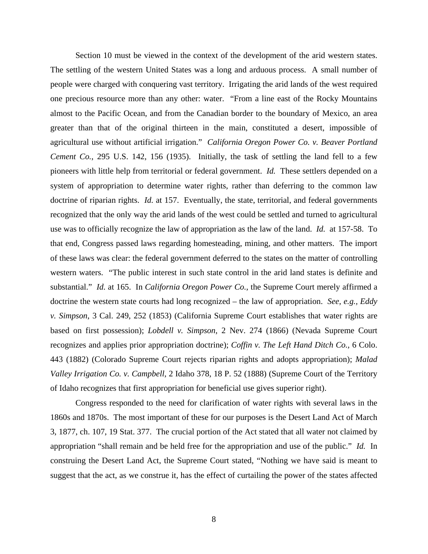Section 10 must be viewed in the context of the development of the arid western states. The settling of the western United States was a long and arduous process. A small number of people were charged with conquering vast territory. Irrigating the arid lands of the west required one precious resource more than any other: water. "From a line east of the Rocky Mountains almost to the Pacific Ocean, and from the Canadian border to the boundary of Mexico, an area greater than that of the original thirteen in the main, constituted a desert, impossible of agricultural use without artificial irrigation." *California Oregon Power Co. v. Beaver Portland Cement Co.*, 295 U.S. 142, 156 (1935). Initially, the task of settling the land fell to a few pioneers with little help from territorial or federal government. *Id.* These settlers depended on a system of appropriation to determine water rights, rather than deferring to the common law doctrine of riparian rights. *Id.* at 157. Eventually, the state, territorial, and federal governments recognized that the only way the arid lands of the west could be settled and turned to agricultural use was to officially recognize the law of appropriation as the law of the land. *Id.* at 157-58. To that end, Congress passed laws regarding homesteading, mining, and other matters. The import of these laws was clear: the federal government deferred to the states on the matter of controlling western waters. "The public interest in such state control in the arid land states is definite and substantial." *Id.* at 165. In *California Oregon Power Co.*, the Supreme Court merely affirmed a doctrine the western state courts had long recognized – the law of appropriation. *See, e.g., Eddy v. Simpson*, 3 Cal. 249, 252 (1853) (California Supreme Court establishes that water rights are based on first possession); *Lobdell v. Simpson*, 2 Nev. 274 (1866) (Nevada Supreme Court recognizes and applies prior appropriation doctrine); *Coffin v. The Left Hand Ditch Co.,* 6 Colo. 443 (1882) (Colorado Supreme Court rejects riparian rights and adopts appropriation); *Malad Valley Irrigation Co. v. Campbell*, 2 Idaho 378, 18 P. 52 (1888) (Supreme Court of the Territory of Idaho recognizes that first appropriation for beneficial use gives superior right).

Congress responded to the need for clarification of water rights with several laws in the 1860s and 1870s. The most important of these for our purposes is the Desert Land Act of March 3, 1877, ch. 107, 19 Stat. 377. The crucial portion of the Act stated that all water not claimed by appropriation "shall remain and be held free for the appropriation and use of the public." *Id.* In construing the Desert Land Act, the Supreme Court stated, "Nothing we have said is meant to suggest that the act, as we construe it, has the effect of curtailing the power of the states affected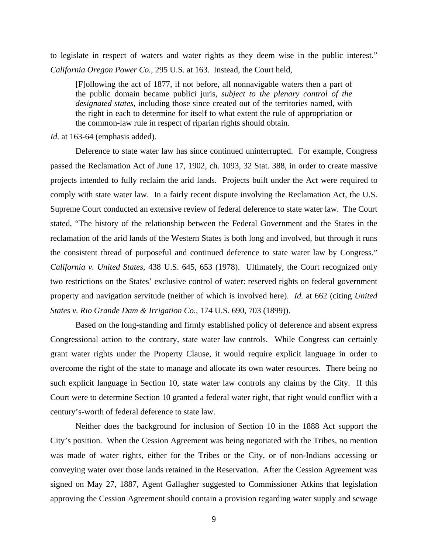to legislate in respect of waters and water rights as they deem wise in the public interest." *California Oregon Power Co.*, 295 U.S. at 163. Instead, the Court held,

[F]ollowing the act of 1877, if not before, all nonnavigable waters then a part of the public domain became publici juris, *subject to the plenary control of the designated states*, including those since created out of the territories named, with the right in each to determine for itself to what extent the rule of appropriation or the common-law rule in respect of riparian rights should obtain.

*Id.* at 163-64 (emphasis added).

Deference to state water law has since continued uninterrupted. For example, Congress passed the Reclamation Act of June 17, 1902, ch. 1093, 32 Stat. 388, in order to create massive projects intended to fully reclaim the arid lands. Projects built under the Act were required to comply with state water law. In a fairly recent dispute involving the Reclamation Act, the U.S. Supreme Court conducted an extensive review of federal deference to state water law. The Court stated, "The history of the relationship between the Federal Government and the States in the reclamation of the arid lands of the Western States is both long and involved, but through it runs the consistent thread of purposeful and continued deference to state water law by Congress." *California v. United States*, 438 U.S. 645, 653 (1978). Ultimately, the Court recognized only two restrictions on the States' exclusive control of water: reserved rights on federal government property and navigation servitude (neither of which is involved here). *Id.* at 662 (citing *United States v. Rio Grande Dam & Irrigation Co.*, 174 U.S. 690, 703 (1899)).

Based on the long-standing and firmly established policy of deference and absent express Congressional action to the contrary, state water law controls. While Congress can certainly grant water rights under the Property Clause, it would require explicit language in order to overcome the right of the state to manage and allocate its own water resources. There being no such explicit language in Section 10, state water law controls any claims by the City. If this Court were to determine Section 10 granted a federal water right, that right would conflict with a century's-worth of federal deference to state law.

Neither does the background for inclusion of Section 10 in the 1888 Act support the City's position. When the Cession Agreement was being negotiated with the Tribes, no mention was made of water rights, either for the Tribes or the City, or of non-Indians accessing or conveying water over those lands retained in the Reservation. After the Cession Agreement was signed on May 27, 1887, Agent Gallagher suggested to Commissioner Atkins that legislation approving the Cession Agreement should contain a provision regarding water supply and sewage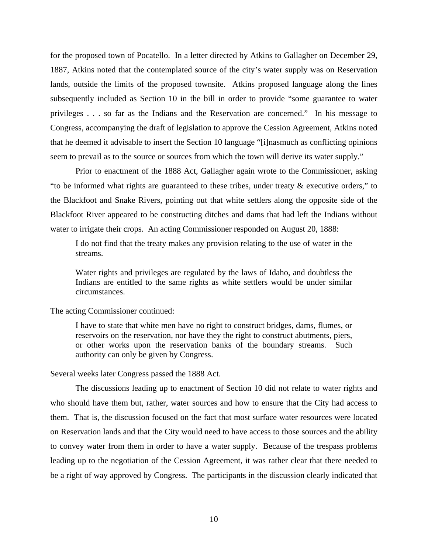for the proposed town of Pocatello. In a letter directed by Atkins to Gallagher on December 29, 1887, Atkins noted that the contemplated source of the city's water supply was on Reservation lands, outside the limits of the proposed townsite. Atkins proposed language along the lines subsequently included as Section 10 in the bill in order to provide "some guarantee to water privileges . . . so far as the Indians and the Reservation are concerned." In his message to Congress, accompanying the draft of legislation to approve the Cession Agreement, Atkins noted that he deemed it advisable to insert the Section 10 language "[i]nasmuch as conflicting opinions seem to prevail as to the source or sources from which the town will derive its water supply."

Prior to enactment of the 1888 Act, Gallagher again wrote to the Commissioner, asking "to be informed what rights are guaranteed to these tribes, under treaty & executive orders," to the Blackfoot and Snake Rivers, pointing out that white settlers along the opposite side of the Blackfoot River appeared to be constructing ditches and dams that had left the Indians without water to irrigate their crops. An acting Commissioner responded on August 20, 1888:

I do not find that the treaty makes any provision relating to the use of water in the streams.

Water rights and privileges are regulated by the laws of Idaho, and doubtless the Indians are entitled to the same rights as white settlers would be under similar circumstances.

## The acting Commissioner continued:

I have to state that white men have no right to construct bridges, dams, flumes, or reservoirs on the reservation, nor have they the right to construct abutments, piers, or other works upon the reservation banks of the boundary streams. Such authority can only be given by Congress.

Several weeks later Congress passed the 1888 Act.

The discussions leading up to enactment of Section 10 did not relate to water rights and who should have them but, rather, water sources and how to ensure that the City had access to them. That is, the discussion focused on the fact that most surface water resources were located on Reservation lands and that the City would need to have access to those sources and the ability to convey water from them in order to have a water supply. Because of the trespass problems leading up to the negotiation of the Cession Agreement, it was rather clear that there needed to be a right of way approved by Congress. The participants in the discussion clearly indicated that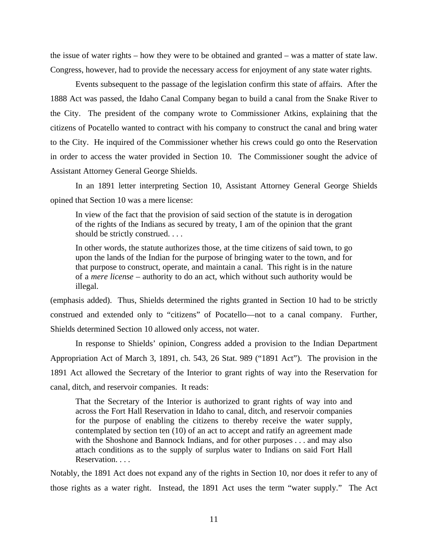the issue of water rights – how they were to be obtained and granted – was a matter of state law. Congress, however, had to provide the necessary access for enjoyment of any state water rights.

Events subsequent to the passage of the legislation confirm this state of affairs. After the 1888 Act was passed, the Idaho Canal Company began to build a canal from the Snake River to the City. The president of the company wrote to Commissioner Atkins, explaining that the citizens of Pocatello wanted to contract with his company to construct the canal and bring water to the City. He inquired of the Commissioner whether his crews could go onto the Reservation in order to access the water provided in Section 10. The Commissioner sought the advice of Assistant Attorney General George Shields.

In an 1891 letter interpreting Section 10, Assistant Attorney General George Shields opined that Section 10 was a mere license:

In view of the fact that the provision of said section of the statute is in derogation of the rights of the Indians as secured by treaty, I am of the opinion that the grant should be strictly construed. . . .

In other words, the statute authorizes those, at the time citizens of said town, to go upon the lands of the Indian for the purpose of bringing water to the town, and for that purpose to construct, operate, and maintain a canal. This right is in the nature of a *mere license* – authority to do an act, which without such authority would be illegal.

(emphasis added). Thus, Shields determined the rights granted in Section 10 had to be strictly construed and extended only to "citizens" of Pocatello—not to a canal company. Further, Shields determined Section 10 allowed only access, not water.

In response to Shields' opinion, Congress added a provision to the Indian Department Appropriation Act of March 3, 1891, ch. 543, 26 Stat. 989 ("1891 Act"). The provision in the 1891 Act allowed the Secretary of the Interior to grant rights of way into the Reservation for canal, ditch, and reservoir companies. It reads:

That the Secretary of the Interior is authorized to grant rights of way into and across the Fort Hall Reservation in Idaho to canal, ditch, and reservoir companies for the purpose of enabling the citizens to thereby receive the water supply, contemplated by section ten (10) of an act to accept and ratify an agreement made with the Shoshone and Bannock Indians, and for other purposes . . . and may also attach conditions as to the supply of surplus water to Indians on said Fort Hall Reservation. . . .

Notably, the 1891 Act does not expand any of the rights in Section 10, nor does it refer to any of those rights as a water right. Instead, the 1891 Act uses the term "water supply." The Act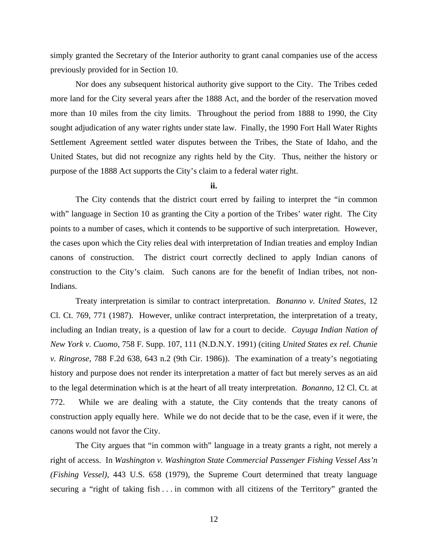simply granted the Secretary of the Interior authority to grant canal companies use of the access previously provided for in Section 10.

Nor does any subsequent historical authority give support to the City. The Tribes ceded more land for the City several years after the 1888 Act, and the border of the reservation moved more than 10 miles from the city limits.Throughout the period from 1888 to 1990, the City sought adjudication of any water rights under state law. Finally, the 1990 Fort Hall Water Rights Settlement Agreement settled water disputes between the Tribes, the State of Idaho, and the United States, but did not recognize any rights held by the City. Thus, neither the history or purpose of the 1888 Act supports the City's claim to a federal water right.

**ii.** 

The City contends that the district court erred by failing to interpret the "in common with" language in Section 10 as granting the City a portion of the Tribes' water right. The City points to a number of cases, which it contends to be supportive of such interpretation. However, the cases upon which the City relies deal with interpretation of Indian treaties and employ Indian canons of construction. The district court correctly declined to apply Indian canons of construction to the City's claim. Such canons are for the benefit of Indian tribes, not non-Indians.

Treaty interpretation is similar to contract interpretation. *Bonanno v. United States*, 12 Cl. Ct. 769, 771 (1987). However, unlike contract interpretation, the interpretation of a treaty, including an Indian treaty, is a question of law for a court to decide. *Cayuga Indian Nation of New York v. Cuomo*, 758 F. Supp. 107, 111 (N.D.N.Y. 1991) (citing *United States ex rel. Chunie v. Ringrose*, 788 F.2d 638, 643 n.2 (9th Cir. 1986)). The examination of a treaty's negotiating history and purpose does not render its interpretation a matter of fact but merely serves as an aid to the legal determination which is at the heart of all treaty interpretation. *Bonanno,* 12 Cl. Ct. at 772. While we are dealing with a statute, the City contends that the treaty canons of construction apply equally here. While we do not decide that to be the case, even if it were, the canons would not favor the City.

The City argues that "in common with" language in a treaty grants a right, not merely a right of access. In *Washington v. Washington State Commercial Passenger Fishing Vessel Ass'n (Fishing Vessel)*, 443 U.S. 658 (1979), the Supreme Court determined that treaty language securing a "right of taking fish . . . in common with all citizens of the Territory" granted the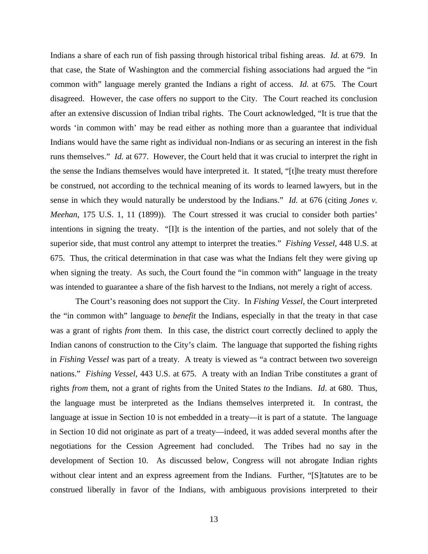Indians a share of each run of fish passing through historical tribal fishing areas. *Id.* at 679. In that case, the State of Washington and the commercial fishing associations had argued the "in common with" language merely granted the Indians a right of access. *Id.* at 675. The Court disagreed. However, the case offers no support to the City. The Court reached its conclusion after an extensive discussion of Indian tribal rights. The Court acknowledged, "It is true that the words 'in common with' may be read either as nothing more than a guarantee that individual Indians would have the same right as individual non-Indians or as securing an interest in the fish runs themselves." *Id.* at 677. However, the Court held that it was crucial to interpret the right in the sense the Indians themselves would have interpreted it. It stated, "[t]he treaty must therefore be construed, not according to the technical meaning of its words to learned lawyers, but in the sense in which they would naturally be understood by the Indians." *Id.* at 676 (citing *Jones v. Meehan*, 175 U.S. 1, 11 (1899)). The Court stressed it was crucial to consider both parties' intentions in signing the treaty. "[I]t is the intention of the parties, and not solely that of the superior side, that must control any attempt to interpret the treaties." *Fishing Vessel*, 448 U.S. at 675. Thus, the critical determination in that case was what the Indians felt they were giving up when signing the treaty. As such, the Court found the "in common with" language in the treaty was intended to guarantee a share of the fish harvest to the Indians, not merely a right of access.

The Court's reasoning does not support the City. In *Fishing Vessel*, the Court interpreted the "in common with" language to *benefit* the Indians, especially in that the treaty in that case was a grant of rights *from* them. In this case, the district court correctly declined to apply the Indian canons of construction to the City's claim. The language that supported the fishing rights in *Fishing Vessel* was part of a treaty. A treaty is viewed as "a contract between two sovereign nations." *Fishing Vessel*, 443 U.S. at 675. A treaty with an Indian Tribe constitutes a grant of rights *from* them, not a grant of rights from the United States *to* the Indians. *Id*. at 680. Thus, the language must be interpreted as the Indians themselves interpreted it. In contrast, the language at issue in Section 10 is not embedded in a treaty—it is part of a statute. The language in Section 10 did not originate as part of a treaty—indeed, it was added several months after the negotiations for the Cession Agreement had concluded. The Tribes had no say in the development of Section 10. As discussed below, Congress will not abrogate Indian rights without clear intent and an express agreement from the Indians. Further, "[S] tatutes are to be construed liberally in favor of the Indians, with ambiguous provisions interpreted to their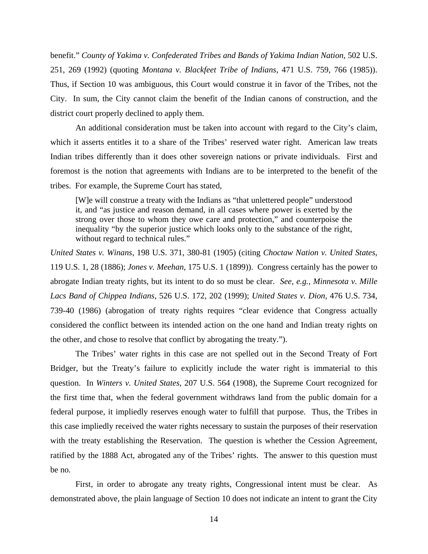benefit." *County of Yakima v. Confederated Tribes and Bands of Yakima Indian Nation*, 502 U.S. 251, 269 (1992) (quoting *Montana v. Blackfeet Tribe of Indians,* 471 U.S. 759, 766 (1985)). Thus, if Section 10 was ambiguous, this Court would construe it in favor of the Tribes, not the City. In sum, the City cannot claim the benefit of the Indian canons of construction, and the district court properly declined to apply them.

An additional consideration must be taken into account with regard to the City's claim, which it asserts entitles it to a share of the Tribes' reserved water right. American law treats Indian tribes differently than it does other sovereign nations or private individuals. First and foremost is the notion that agreements with Indians are to be interpreted to the benefit of the tribes. For example, the Supreme Court has stated,

[W]e will construe a treaty with the Indians as "that unlettered people" understood it, and "as justice and reason demand, in all cases where power is exerted by the strong over those to whom they owe care and protection," and counterpoise the inequality "by the superior justice which looks only to the substance of the right, without regard to technical rules."

*United States v. Winans*, 198 U.S. 371, 380-81 (1905) (citing *Choctaw Nation v. United States*, 119 U.S. 1, 28 (1886); *Jones v. Meehan*, 175 U.S. 1 (1899)). Congress certainly has the power to abrogate Indian treaty rights, but its intent to do so must be clear. *See, e.g., Minnesota v. Mille Lacs Band of Chippea Indians*, 526 U.S. 172, 202 (1999); *United States v. Dion*, 476 U.S. 734, 739-40 (1986) (abrogation of treaty rights requires "clear evidence that Congress actually considered the conflict between its intended action on the one hand and Indian treaty rights on the other, and chose to resolve that conflict by abrogating the treaty.").

The Tribes' water rights in this case are not spelled out in the Second Treaty of Fort Bridger, but the Treaty's failure to explicitly include the water right is immaterial to this question. In *Winters v. United States*, 207 U.S. 564 (1908), the Supreme Court recognized for the first time that, when the federal government withdraws land from the public domain for a federal purpose, it impliedly reserves enough water to fulfill that purpose. Thus, the Tribes in this case impliedly received the water rights necessary to sustain the purposes of their reservation with the treaty establishing the Reservation. The question is whether the Cession Agreement, ratified by the 1888 Act, abrogated any of the Tribes' rights. The answer to this question must be no.

First, in order to abrogate any treaty rights, Congressional intent must be clear. As demonstrated above, the plain language of Section 10 does not indicate an intent to grant the City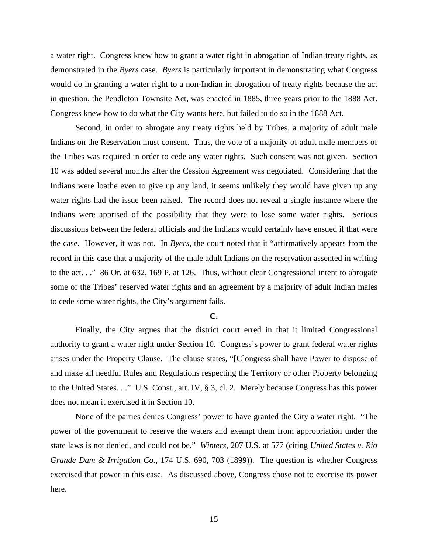a water right. Congress knew how to grant a water right in abrogation of Indian treaty rights, as demonstrated in the *Byers* case. *Byers* is particularly important in demonstrating what Congress would do in granting a water right to a non-Indian in abrogation of treaty rights because the act in question, the Pendleton Townsite Act, was enacted in 1885, three years prior to the 1888 Act. Congress knew how to do what the City wants here, but failed to do so in the 1888 Act.

Second, in order to abrogate any treaty rights held by Tribes, a majority of adult male Indians on the Reservation must consent. Thus, the vote of a majority of adult male members of the Tribes was required in order to cede any water rights. Such consent was not given. Section 10 was added several months after the Cession Agreement was negotiated. Considering that the Indians were loathe even to give up any land, it seems unlikely they would have given up any water rights had the issue been raised. The record does not reveal a single instance where the Indians were apprised of the possibility that they were to lose some water rights. Serious discussions between the federal officials and the Indians would certainly have ensued if that were the case. However, it was not. In *Byers*, the court noted that it "affirmatively appears from the record in this case that a majority of the male adult Indians on the reservation assented in writing to the act. . ." 86 Or. at 632, 169 P. at 126. Thus, without clear Congressional intent to abrogate some of the Tribes' reserved water rights and an agreement by a majority of adult Indian males to cede some water rights, the City's argument fails.

## **C.**

Finally, the City argues that the district court erred in that it limited Congressional authority to grant a water right under Section 10. Congress's power to grant federal water rights arises under the Property Clause. The clause states, "[C]ongress shall have Power to dispose of and make all needful Rules and Regulations respecting the Territory or other Property belonging to the United States. . ." U.S. Const., art. IV, § 3, cl. 2. Merely because Congress has this power does not mean it exercised it in Section 10.

None of the parties denies Congress' power to have granted the City a water right. "The power of the government to reserve the waters and exempt them from appropriation under the state laws is not denied, and could not be." *Winters*, 207 U.S. at 577 (citing *United States v. Rio Grande Dam & Irrigation Co.*, 174 U.S. 690, 703 (1899)). The question is whether Congress exercised that power in this case. As discussed above, Congress chose not to exercise its power here.